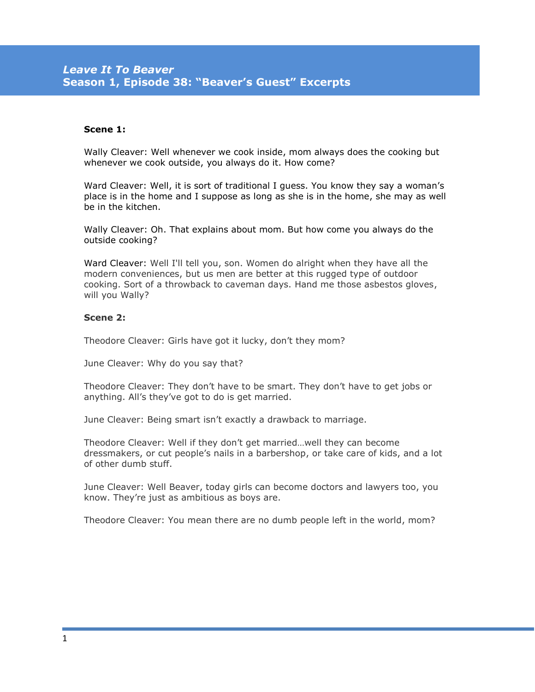## **Scene 1:**

Wally Cleaver: Well whenever we cook inside, mom always does the cooking but whenever we cook outside, you always do it. How come?

Ward Cleaver: Well, it is sort of traditional I guess. You know they say a woman's place is in the home and I suppose as long as she is in the home, she may as well be in the kitchen.

Wally Cleaver: Oh. That explains about mom. But how come you always do the outside cooking?

Ward Cleaver: Well I'll tell you, son. Women do alright when they have all the modern conveniences, but us men are better at this rugged type of outdoor cooking. Sort of a throwback to caveman days. Hand me those asbestos gloves, will you Wally?

## **Scene 2:**

Theodore Cleaver: Girls have got it lucky, don't they mom?

June Cleaver: Why do you say that?

Theodore Cleaver: They don't have to be smart. They don't have to get jobs or anything. All's they've got to do is get married.

June Cleaver: Being smart isn't exactly a drawback to marriage.

Theodore Cleaver: Well if they don't get married…well they can become dressmakers, or cut people's nails in a barbershop, or take care of kids, and a lot of other dumb stuff.

June Cleaver: Well Beaver, today girls can become doctors and lawyers too, you know. They're just as ambitious as boys are.

Theodore Cleaver: You mean there are no dumb people left in the world, mom?